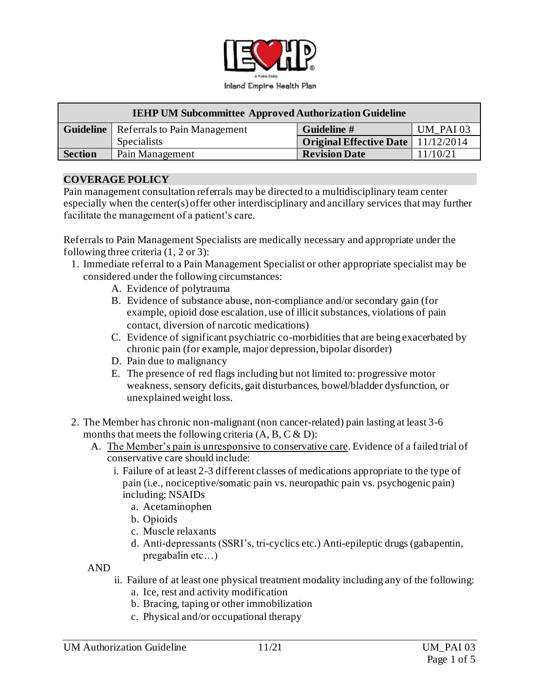

| <b>IEHP UM Subcommittee Approved Authorization Guideline</b> |                                                 |                                      |           |
|--------------------------------------------------------------|-------------------------------------------------|--------------------------------------|-----------|
|                                                              | <b>Guideline</b>   Referrals to Pain Management | Guideline #                          | UM PAI 03 |
|                                                              | <b>Specialists</b>                              | Original Effective Date   11/12/2014 |           |
| <b>Section</b>                                               | Pain Management                                 | <b>Revision Date</b>                 | 11/10/21  |

### **COVERAGE POLICY**

Pain management consultation referrals may be directed to a multidisciplinary team center especially when the center(s) offer other interdisciplinary and ancillary services that may further facilitate the management of a patient's care.

Referrals to Pain Management Specialists are medically necessary and appropriate under the following three criteria (1, 2 or 3):

- 1. Immediate referral to a Pain Management Specialist or other appropriate specialist may be considered under the following circumstances:
	- A. Evidence of polytrauma
	- B. Evidence of substance abuse, non-compliance and/or secondary gain (for example, opioid dose escalation, use of illicit substances, violations of pain contact, diversion of narcotic medications)
	- C. Evidence of significant psychiatric co-morbidities that are being exacerbated by chronic pain (for example, major depression, bipolar disorder)
	- D. Pain due to malignancy
	- E. The presence of red flags including but not limited to: progressive motor weakness, sensory deficits, gait disturbances, bowel/bladder dysfunction, or unexplained weight loss.
- 2. The Member has chronic non-malignant (non cancer-related) pain lasting at least 3-6 months that meets the following criteria  $(A, B, C \& D)$ :
	- A. The Member's pain is unresponsive to conservative care. Evidence of a failed trial of conservative care should include:
		- i. Failure of at least 2-3 different classes of medications appropriate to the type of pain (i.e., nociceptive/somatic pain vs. neuropathic pain vs. psychogenic pain) including: NSAIDs
			- a. Acetaminophen
			- b. Opioids
			- c. Muscle relaxants
			- d. Anti-depressants (SSRI's, tri-cyclics etc.) Anti-epileptic drugs (gabapentin, pregabalin etc…)

AND

- ii. Failure of at least one physical treatment modality including any of the following:
	- a. Ice, rest and activity modification
	- b. Bracing, taping or other immobilization
	- c. Physical and/or occupational therapy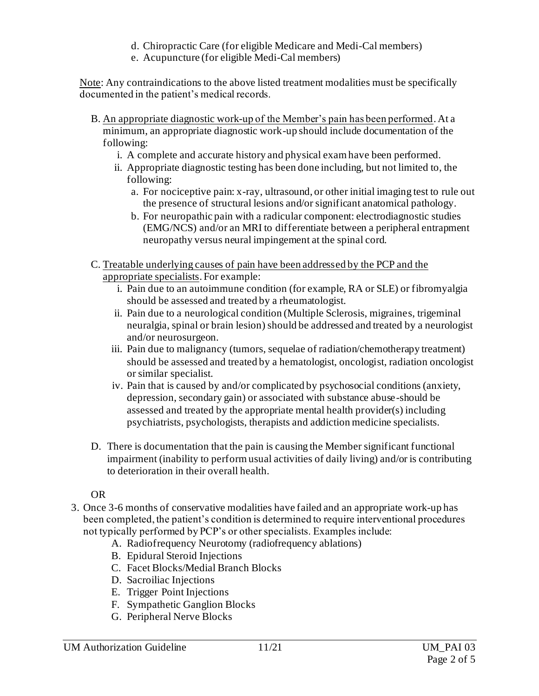- d. Chiropractic Care (for eligible Medicare and Medi-Cal members)
- e. Acupuncture (for eligible Medi-Cal members)

Note: Any contraindications to the above listed treatment modalities must be specifically documented in the patient's medical records.

- B. An appropriate diagnostic work-up of the Member's pain has been performed. At a minimum, an appropriate diagnostic work-up should include documentation of the following:
	- i. A complete and accurate history and physical exam have been performed.
	- ii. Appropriate diagnostic testing has been done including, but not limited to, the following:
		- a. For nociceptive pain: x-ray, ultrasound, or other initial imaging test to rule out the presence of structural lesions and/or significant anatomical pathology.
		- b. For neuropathic pain with a radicular component: electrodiagnostic studies (EMG/NCS) and/or an MRI to differentiate between a peripheral entrapment neuropathy versus neural impingement at the spinal cord.
- C. Treatable underlying causes of pain have been addressed by the PCP and the appropriate specialists. For example:
	- i. Pain due to an autoimmune condition (for example, RA or SLE) or fibromyalgia should be assessed and treated by a rheumatologist.
	- ii. Pain due to a neurological condition (Multiple Sclerosis, migraines, trigeminal neuralgia, spinal or brain lesion) should be addressed and treated by a neurologist and/or neurosurgeon.
	- iii. Pain due to malignancy (tumors, sequelae of radiation/chemotherapy treatment) should be assessed and treated by a hematologist, oncologist, radiation oncologist or similar specialist.
	- iv. Pain that is caused by and/or complicated by psychosocial conditions (anxiety, depression, secondary gain) or associated with substance abuse-should be assessed and treated by the appropriate mental health provider(s) including psychiatrists, psychologists, therapists and addiction medicine specialists.
- D. There is documentation that the pain is causing the Member significant functional impairment (inability to perform usual activities of daily living) and/or is contributing to deterioration in their overall health.

# OR

- 3. Once 3-6 months of conservative modalities have failed and an appropriate work-up has been completed, the patient's condition is determined to require interventional procedures not typically performed by PCP's or other specialists. Examples include:
	- A. Radiofrequency Neurotomy (radiofrequency ablations)
	- B. Epidural Steroid Injections
	- C. Facet Blocks/Medial Branch Blocks
	- D. Sacroiliac Injections
	- E. Trigger Point Injections
	- F. Sympathetic Ganglion Blocks
	- G. Peripheral Nerve Blocks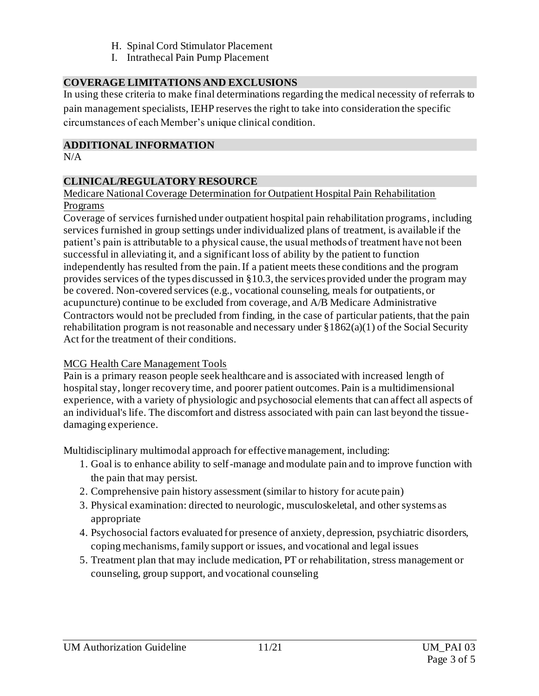- H. Spinal Cord Stimulator Placement
- I. Intrathecal Pain Pump Placement

# **COVERAGE LIMITATIONS AND EXCLUSIONS**

In using these criteria to make final determinations regarding the medical necessity of referrals to pain management specialists, IEHP reserves the right to take into consideration the specific circumstances of each Member's unique clinical condition.

### **ADDITIONAL INFORMATION**

 $N/A$ 

### **CLINICAL/REGULATORY RESOURCE**

### Medicare National Coverage Determination for Outpatient Hospital Pain Rehabilitation Programs

Coverage of services furnished under outpatient hospital pain rehabilitation programs, including services furnished in group settings under individualized plans of treatment, is available if the patient's pain is attributable to a physical cause, the usual methods of treatment have not been successful in alleviating it, and a significant loss of ability by the patient to function independently has resulted from the pain. If a patient meets these conditions and the program provides services of the types discussed in §10.3, the services provided under the program may be covered. Non-covered services (e.g., vocational counseling, meals for outpatients, or acupuncture) continue to be excluded from coverage, and A/B Medicare Administrative Contractors would not be precluded from finding, in the case of particular patients, that the pain rehabilitation program is not reasonable and necessary under  $\S 1862(a)(1)$  of the Social Security Act for the treatment of their conditions.

# MCG Health Care Management Tools

Pain is a primary reason people seek healthcare and is associated with increased length of hospital stay, longer recovery time, and poorer patient outcomes. Pain is a multidimensional experience, with a variety of physiologic and psychosocial elements that can affect all aspects of an individual's life. The discomfort and distress associated with pain can last beyond the tissuedamaging experience.

Multidisciplinary multimodal approach for effective management, including:

- 1. Goal is to enhance ability to self-manage and modulate pain and to improve function with the pain that may persist.
- 2. Comprehensive pain history assessment (similar to history for acute pain)
- 3. Physical examination: directed to neurologic, musculoskeletal, and other systems as appropriate
- 4. Psychosocial factors evaluated for presence of anxiety, depression, psychiatric disorders, coping mechanisms, family support or issues, and vocational and legal issues
- 5. Treatment plan that may include medication, PT or rehabilitation, stress management or counseling, group support, and vocational counseling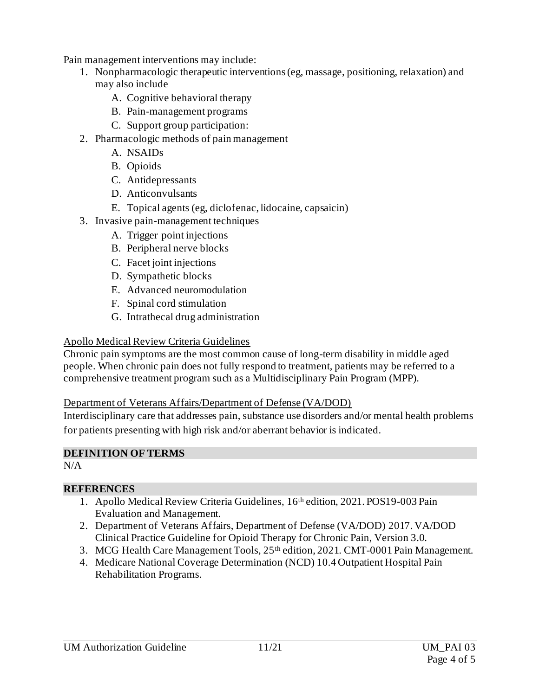Pain management interventions may include:

- 1. Nonpharmacologic therapeutic interventions (eg, massage, positioning, relaxation) and may also include
	- A. Cognitive behavioral therapy
	- B. Pain-management programs
	- C. Support group participation:
- 2. Pharmacologic methods of pain management
	- A. NSAIDs
	- B. Opioids
	- C. Antidepressants
	- D. Anticonvulsants
	- E. Topical agents (eg, diclofenac, lidocaine, capsaicin)
- 3. Invasive pain-management techniques
	- A. Trigger point injections
	- B. Peripheral nerve blocks
	- C. Facet joint injections
	- D. Sympathetic blocks
	- E. Advanced neuromodulation
	- F. Spinal cord stimulation
	- G. Intrathecal drug administration

### Apollo Medical Review Criteria Guidelines

Chronic pain symptoms are the most common cause of long-term disability in middle aged people. When chronic pain does not fully respond to treatment, patients may be referred to a comprehensive treatment program such as a Multidisciplinary Pain Program (MPP).

#### Department of Veterans Affairs/Department of Defense (VA/DOD)

Interdisciplinary care that addresses pain, substance use disorders and/or mental health problems for patients presenting with high risk and/or aberrant behavior is indicated.

#### **DEFINITION OF TERMS**

N/A

#### **REFERENCES**

- 1. Apollo Medical Review Criteria Guidelines, 16th edition, 2021. POS19-003 Pain Evaluation and Management.
- 2. Department of Veterans Affairs, Department of Defense (VA/DOD) 2017. VA/DOD Clinical Practice Guideline for Opioid Therapy for Chronic Pain, Version 3.0.
- 3. MCG Health Care Management Tools,  $25<sup>th</sup>$  edition,  $2021$ . CMT-0001 Pain Management.
- 4. Medicare National Coverage Determination (NCD) 10.4 Outpatient Hospital Pain Rehabilitation Programs.